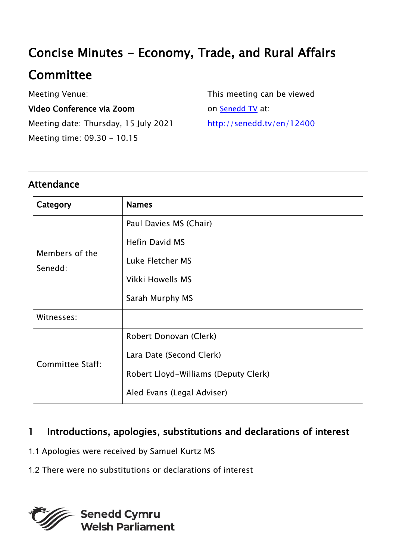# Concise Minutes - Economy, Trade, and Rural Affairs

# **Committee**

Meeting Venue:

#### Video Conference via Zoom

Meeting date: Thursday, 15 July 2021 Meeting time: 09.30 - 10.15

This meeting can be viewed on [Senedd TV](http://senedd.tv/) at: http://senedd.tv/en/12400

## Attendance

| Category                  | <b>Names</b>                         |
|---------------------------|--------------------------------------|
| Members of the<br>Senedd: | Paul Davies MS (Chair)               |
|                           | <b>Hefin David MS</b>                |
|                           | Luke Fletcher MS                     |
|                           | <b>Vikki Howells MS</b>              |
|                           | Sarah Murphy MS                      |
| Witnesses:                |                                      |
| <b>Committee Staff:</b>   | Robert Donovan (Clerk)               |
|                           | Lara Date (Second Clerk)             |
|                           | Robert Lloyd-Williams (Deputy Clerk) |
|                           | Aled Evans (Legal Adviser)           |

## 1 Introductions, apologies, substitutions and declarations of interest

- 1.1 Apologies were received by Samuel Kurtz MS
- 1.2 There were no substitutions or declarations of interest

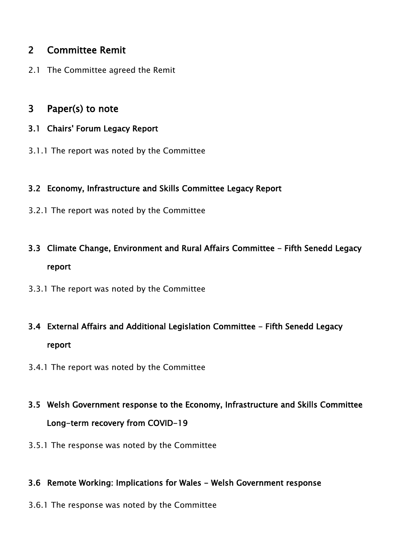## 2 Committee Remit

2.1 The Committee agreed the Remit

### 3 Paper(s) to note

- 3.1 Chairs' Forum Legacy Report
- 3.1.1 The report was noted by the Committee

#### 3.2 Economy, Infrastructure and Skills Committee Legacy Report

- 3.2.1 The report was noted by the Committee
- 3.3 Climate Change, Environment and Rural Affairs Committee Fifth Senedd Legacy report
- 3.3.1 The report was noted by the Committee
- 3.4 External Affairs and Additional Legislation Committee Fifth Senedd Legacy report
- 3.4.1 The report was noted by the Committee
- 3.5 Welsh Government response to the Economy, Infrastructure and Skills Committee Long-term recovery from COVID-19
- 3.5.1 The response was noted by the Committee

#### 3.6 Remote Working: Implications for Wales - Welsh Government response

3.6.1 The response was noted by the Committee